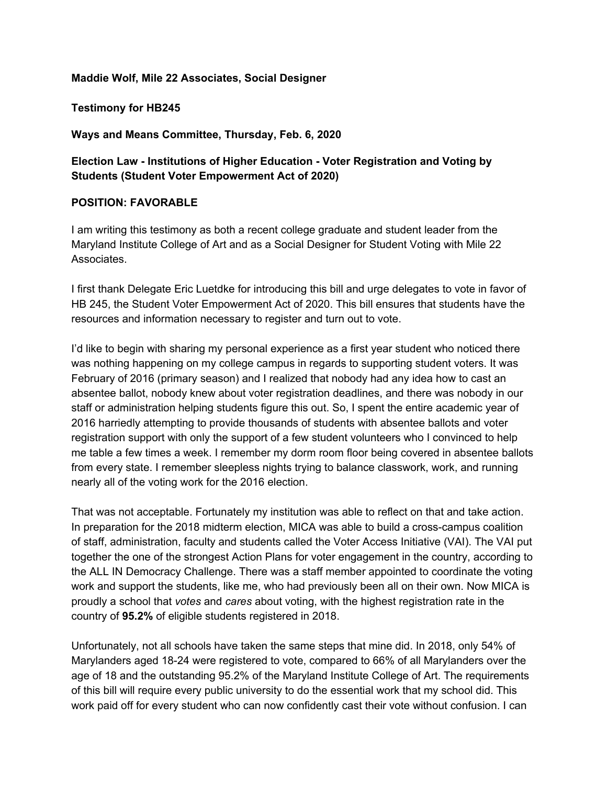## **Maddie Wolf, Mile 22 Associates, Social Designer**

**Testimony for HB245**

**Ways and Means Committee, Thursday, Feb. 6, 2020**

## **Election Law - Institutions of Higher Education - Voter Registration and Voting by Students (Student Voter Empowerment Act of 2020)**

## **POSITION: FAVORABLE**

I am writing this testimony as both a recent college graduate and student leader from the Maryland Institute College of Art and as a Social Designer for Student Voting with Mile 22 Associates.

I first thank Delegate Eric Luetdke for introducing this bill and urge delegates to vote in favor of HB 245, the Student Voter Empowerment Act of 2020. This bill ensures that students have the resources and information necessary to register and turn out to vote.

I'd like to begin with sharing my personal experience as a first year student who noticed there was nothing happening on my college campus in regards to supporting student voters. It was February of 2016 (primary season) and I realized that nobody had any idea how to cast an absentee ballot, nobody knew about voter registration deadlines, and there was nobody in our staff or administration helping students figure this out. So, I spent the entire academic year of 2016 harriedly attempting to provide thousands of students with absentee ballots and voter registration support with only the support of a few student volunteers who I convinced to help me table a few times a week. I remember my dorm room floor being covered in absentee ballots from every state. I remember sleepless nights trying to balance classwork, work, and running nearly all of the voting work for the 2016 election.

That was not acceptable. Fortunately my institution was able to reflect on that and take action. In preparation for the 2018 midterm election, MICA was able to build a cross-campus coalition of staff, administration, faculty and students called the Voter Access Initiative (VAI). The VAI put together the one of the strongest Action Plans for voter engagement in the country, according to the ALL IN Democracy Challenge. There was a staff member appointed to coordinate the voting work and support the students, like me, who had previously been all on their own. Now MICA is proudly a school that *votes* and *cares* about voting, with the highest registration rate in the country of **95.2%** of eligible students registered in 2018.

Unfortunately, not all schools have taken the same steps that mine did. In 2018, only 54% of Marylanders aged 18-24 were registered to vote, compared to 66% of all Marylanders over the age of 18 and the outstanding 95.2% of the Maryland Institute College of Art. The requirements of this bill will require every public university to do the essential work that my school did. This work paid off for every student who can now confidently cast their vote without confusion. I can